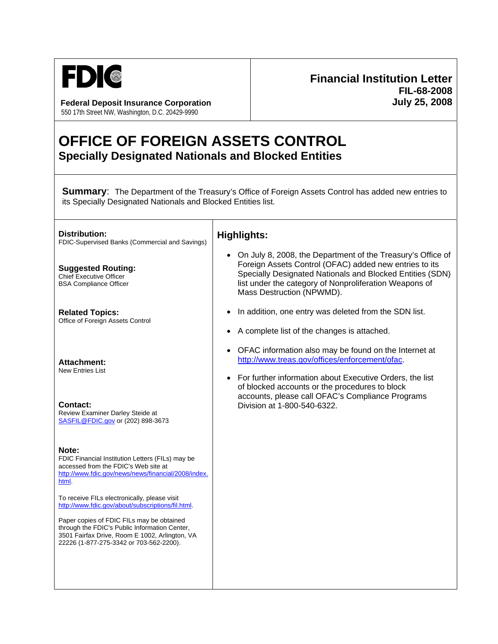

**Federal Deposit Insurance Corporation July 25, 2008** 550 17th Street NW, Washington, D.C. 20429-9990

# **Financial Institution Letter FIL-68-2008**

# **OFFICE OF FOREIGN ASSETS CONTROL Specially Designated Nationals and Blocked Entities**

┱

**Summary:** The Department of the Treasury's Office of Foreign Assets Control has added new entries to its Specially Designated Nationals and Blocked Entities list.

| Distribution:<br>FDIC-Supervised Banks (Commercial and Savings)                                                                                                                         | <b>Highlights:</b>                                                                                                                                                                                                                                                        |
|-----------------------------------------------------------------------------------------------------------------------------------------------------------------------------------------|---------------------------------------------------------------------------------------------------------------------------------------------------------------------------------------------------------------------------------------------------------------------------|
| <b>Suggested Routing:</b><br><b>Chief Executive Officer</b><br><b>BSA Compliance Officer</b>                                                                                            | On July 8, 2008, the Department of the Treasury's Office of<br>Foreign Assets Control (OFAC) added new entries to its<br>Specially Designated Nationals and Blocked Entities (SDN)<br>list under the category of Nonproliferation Weapons of<br>Mass Destruction (NPWMD). |
| <b>Related Topics:</b><br>Office of Foreign Assets Control                                                                                                                              | In addition, one entry was deleted from the SDN list.                                                                                                                                                                                                                     |
|                                                                                                                                                                                         | A complete list of the changes is attached.                                                                                                                                                                                                                               |
| <b>Attachment:</b><br><b>New Entries List</b>                                                                                                                                           | OFAC information also may be found on the Internet at<br>http://www.treas.gov/offices/enforcement/ofac.                                                                                                                                                                   |
|                                                                                                                                                                                         | For further information about Executive Orders, the list<br>of blocked accounts or the procedures to block                                                                                                                                                                |
| Contact:<br>Review Examiner Darley Steide at<br>SASFIL@FDIC.gov or (202) 898-3673                                                                                                       | accounts, please call OFAC's Compliance Programs<br>Division at 1-800-540-6322.                                                                                                                                                                                           |
| Note:<br>FDIC Financial Institution Letters (FILs) may be<br>accessed from the FDIC's Web site at<br>http://www.fdic.gov/news/news/financial/2008/index.<br>html.                       |                                                                                                                                                                                                                                                                           |
| To receive FILs electronically, please visit<br>http://www.fdic.gov/about/subscriptions/fil.html.                                                                                       |                                                                                                                                                                                                                                                                           |
| Paper copies of FDIC FILs may be obtained<br>through the FDIC's Public Information Center,<br>3501 Fairfax Drive, Room E 1002, Arlington, VA<br>22226 (1-877-275-3342 or 703-562-2200). |                                                                                                                                                                                                                                                                           |
|                                                                                                                                                                                         |                                                                                                                                                                                                                                                                           |